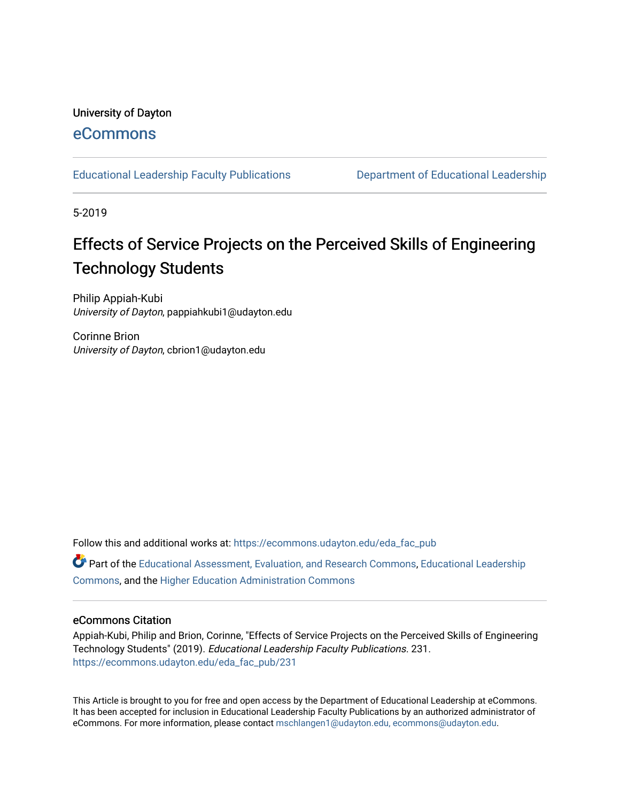## University of Dayton

# [eCommons](https://ecommons.udayton.edu/)

[Educational Leadership Faculty Publications](https://ecommons.udayton.edu/eda_fac_pub) **Department of Educational Leadership** 

5-2019

# Effects of Service Projects on the Perceived Skills of Engineering Technology Students

Philip Appiah-Kubi University of Dayton, pappiahkubi1@udayton.edu

Corinne Brion University of Dayton, cbrion1@udayton.edu

Follow this and additional works at: [https://ecommons.udayton.edu/eda\\_fac\\_pub](https://ecommons.udayton.edu/eda_fac_pub?utm_source=ecommons.udayton.edu%2Feda_fac_pub%2F231&utm_medium=PDF&utm_campaign=PDFCoverPages) Part of the [Educational Assessment, Evaluation, and Research Commons](http://network.bepress.com/hgg/discipline/796?utm_source=ecommons.udayton.edu%2Feda_fac_pub%2F231&utm_medium=PDF&utm_campaign=PDFCoverPages), [Educational Leadership](http://network.bepress.com/hgg/discipline/1230?utm_source=ecommons.udayton.edu%2Feda_fac_pub%2F231&utm_medium=PDF&utm_campaign=PDFCoverPages) [Commons](http://network.bepress.com/hgg/discipline/1230?utm_source=ecommons.udayton.edu%2Feda_fac_pub%2F231&utm_medium=PDF&utm_campaign=PDFCoverPages), and the [Higher Education Administration Commons](http://network.bepress.com/hgg/discipline/791?utm_source=ecommons.udayton.edu%2Feda_fac_pub%2F231&utm_medium=PDF&utm_campaign=PDFCoverPages) 

#### eCommons Citation

Appiah-Kubi, Philip and Brion, Corinne, "Effects of Service Projects on the Perceived Skills of Engineering Technology Students" (2019). Educational Leadership Faculty Publications. 231. [https://ecommons.udayton.edu/eda\\_fac\\_pub/231](https://ecommons.udayton.edu/eda_fac_pub/231?utm_source=ecommons.udayton.edu%2Feda_fac_pub%2F231&utm_medium=PDF&utm_campaign=PDFCoverPages)

This Article is brought to you for free and open access by the Department of Educational Leadership at eCommons. It has been accepted for inclusion in Educational Leadership Faculty Publications by an authorized administrator of eCommons. For more information, please contact [mschlangen1@udayton.edu, ecommons@udayton.edu.](mailto:mschlangen1@udayton.edu,%20ecommons@udayton.edu)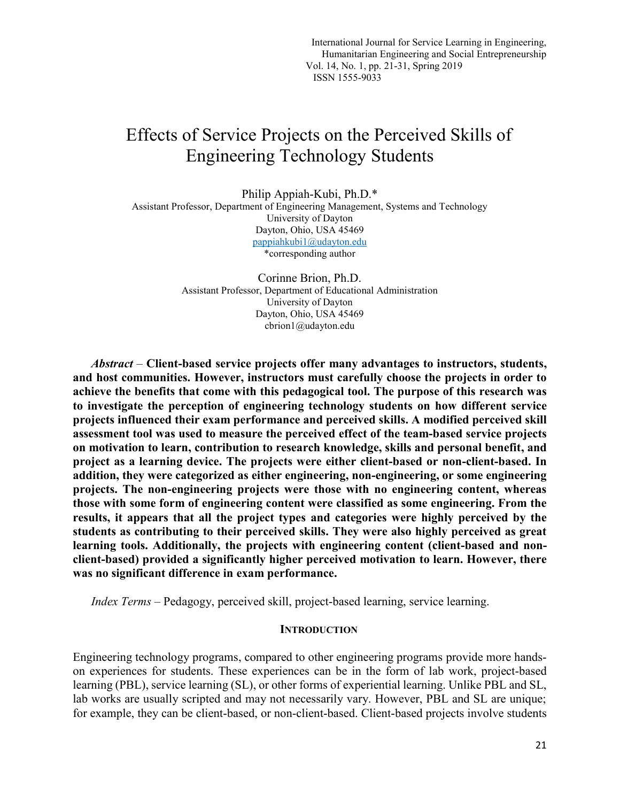# Effects of Service Projects on the Perceived Skills of Engineering Technology Students

Philip Appiah-Kubi, Ph.D.\* Assistant Professor, Department of Engineering Management, Systems and Technology University of Dayton Dayton, Ohio, USA 45469 [pappiahkubi1@udayton.edu](mailto:pappiahkubi1@udayton.edu) \*corresponding author

> Corinne Brion, Ph.D. Assistant Professor, Department of Educational Administration University of Dayton Dayton, Ohio, USA 45469 cbrion1@udayton.edu

*Abstract* – **Client-based service projects offer many advantages to instructors, students, and host communities. However, instructors must carefully choose the projects in order to achieve the benefits that come with this pedagogical tool. The purpose of this research was to investigate the perception of engineering technology students on how different service projects influenced their exam performance and perceived skills. A modified perceived skill assessment tool was used to measure the perceived effect of the team-based service projects on motivation to learn, contribution to research knowledge, skills and personal benefit, and project as a learning device. The projects were either client-based or non-client-based. In addition, they were categorized as either engineering, non-engineering, or some engineering projects. The non-engineering projects were those with no engineering content, whereas those with some form of engineering content were classified as some engineering. From the results, it appears that all the project types and categories were highly perceived by the students as contributing to their perceived skills. They were also highly perceived as great learning tools. Additionally, the projects with engineering content (client-based and nonclient-based) provided a significantly higher perceived motivation to learn. However, there was no significant difference in exam performance.**

*Index Terms* – Pedagogy, perceived skill, project-based learning, service learning.

#### **INTRODUCTION**

Engineering technology programs, compared to other engineering programs provide more handson experiences for students. These experiences can be in the form of lab work, project-based learning (PBL), service learning (SL), or other forms of experiential learning. Unlike PBL and SL, lab works are usually scripted and may not necessarily vary. However, PBL and SL are unique; for example, they can be client-based, or non-client-based. Client-based projects involve students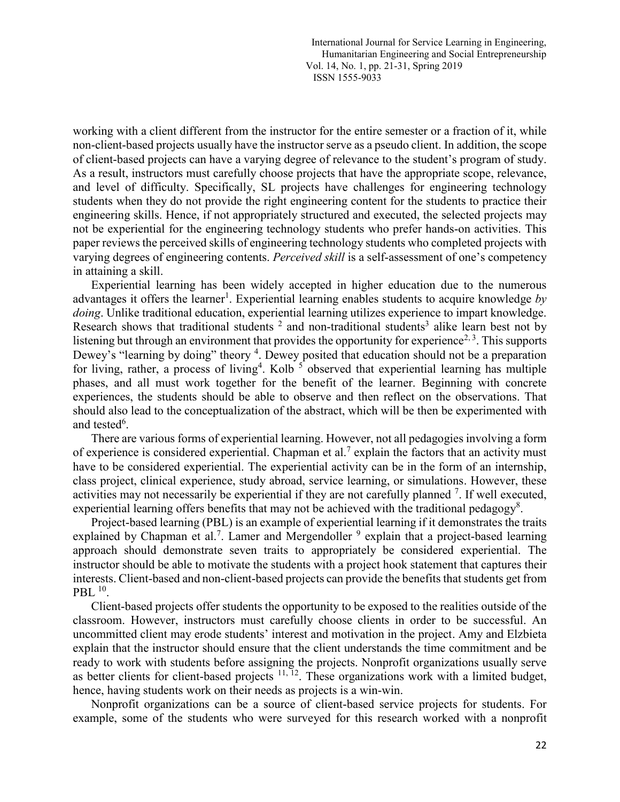working with a client different from the instructor for the entire semester or a fraction of it, while non-client-based projects usually have the instructor serve as a pseudo client. In addition, the scope of client-based projects can have a varying degree of relevance to the student's program of study. As a result, instructors must carefully choose projects that have the appropriate scope, relevance, and level of difficulty. Specifically, SL projects have challenges for engineering technology students when they do not provide the right engineering content for the students to practice their engineering skills. Hence, if not appropriately structured and executed, the selected projects may not be experiential for the engineering technology students who prefer hands-on activities. This paper reviews the perceived skills of engineering technology students who completed projects with varying degrees of engineering contents. *Perceived skill* is a self-assessment of one's competency in attaining a skill.

Experiential learning has been widely accepted in higher education due to the numerous advantages it offers the learner<sup>1</sup>. Experiential learning enables students to acquire knowledge by *doing*. Unlike traditional education, experiential learning utilizes experience to impart knowledge. Research shows that traditional students  $2$  and non-traditional students<sup>3</sup> alike learn best not by listening but through an environment that provides the opportunity for experience<sup>2, 3</sup>. This supports Dewey's "learning by doing" theory <sup>4</sup>. Dewey posited that education should not be a preparation for living, rather, a process of living<sup>4</sup>. Kolb  $<sup>5</sup>$  observed that experiential learning has multiple</sup> phases, and all must work together for the benefit of the learner. Beginning with concrete experiences, the students should be able to observe and then reflect on the observations. That should also lead to the conceptualization of the abstract, which will be then be experimented with and tested<sup>6</sup>.

There are various forms of experiential learning. However, not all pedagogies involving a form of experience is considered experiential. Chapman et al.<sup>7</sup> explain the factors that an activity must have to be considered experiential. The experiential activity can be in the form of an internship, class project, clinical experience, study abroad, service learning, or simulations. However, these activities may not necessarily be experiential if they are not carefully planned  $\frac{7}{1}$ . If well executed, experiential learning offers benefits that may not be achieved with the traditional pedagogy<sup>8</sup>.

Project-based learning (PBL) is an example of experiential learning if it demonstrates the traits explained by Chapman et al.<sup>7</sup>. Lamer and Mergendoller <sup>9</sup> explain that a project-based learning approach should demonstrate seven traits to appropriately be considered experiential. The instructor should be able to motivate the students with a project hook statement that captures their interests. Client-based and non-client-based projects can provide the benefits that students get from  ${\rm PBL}$   $^{10}.$ 

Client-based projects offer students the opportunity to be exposed to the realities outside of the classroom. However, instructors must carefully choose clients in order to be successful. An uncommitted client may erode students' interest and motivation in the project. Amy and Elzbieta explain that the instructor should ensure that the client understands the time commitment and be ready to work with students before assigning the projects. Nonprofit organizations usually serve as better clients for client-based projects <sup>11, 12</sup>. These organizations work with a limited budget, hence, having students work on their needs as projects is a win-win.

Nonprofit organizations can be a source of client-based service projects for students. For example, some of the students who were surveyed for this research worked with a nonprofit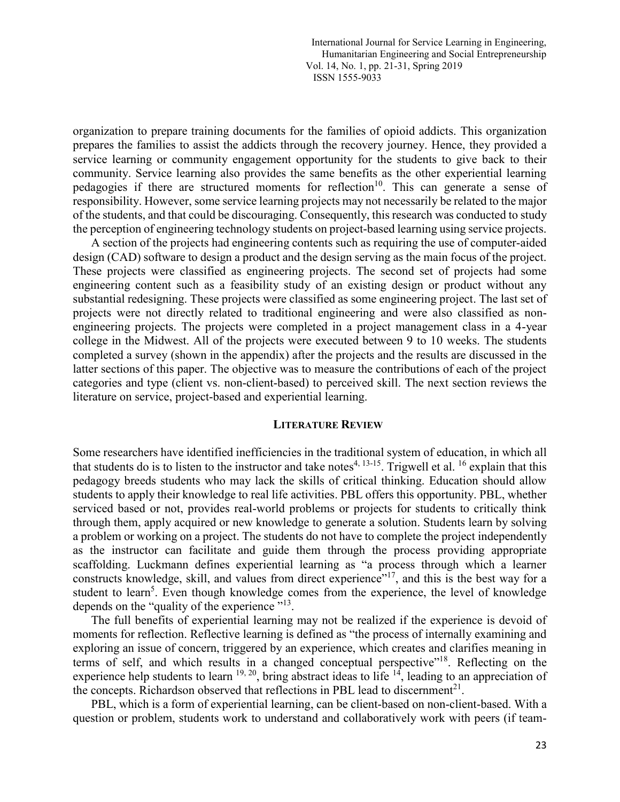organization to prepare training documents for the families of opioid addicts. This organization prepares the families to assist the addicts through the recovery journey. Hence, they provided a service learning or community engagement opportunity for the students to give back to their community. Service learning also provides the same benefits as the other experiential learning pedagogies if there are structured moments for reflection<sup>10</sup>. This can generate a sense of responsibility. However, some service learning projects may not necessarily be related to the major of the students, and that could be discouraging. Consequently, this research was conducted to study the perception of engineering technology students on project-based learning using service projects.

A section of the projects had engineering contents such as requiring the use of computer-aided design (CAD) software to design a product and the design serving as the main focus of the project. These projects were classified as engineering projects. The second set of projects had some engineering content such as a feasibility study of an existing design or product without any substantial redesigning. These projects were classified as some engineering project. The last set of projects were not directly related to traditional engineering and were also classified as nonengineering projects. The projects were completed in a project management class in a 4-year college in the Midwest. All of the projects were executed between 9 to 10 weeks. The students completed a survey (shown in the appendix) after the projects and the results are discussed in the latter sections of this paper. The objective was to measure the contributions of each of the project categories and type (client vs. non-client-based) to perceived skill. The next section reviews the literature on service, project-based and experiential learning.

#### **LITERATURE REVIEW**

Some researchers have identified inefficiencies in the traditional system of education, in which all that students do is to listen to the instructor and take notes<sup>4, 13-15</sup>. Trigwell et al. <sup>16</sup> explain that this pedagogy breeds students who may lack the skills of critical thinking. Education should allow students to apply their knowledge to real life activities. PBL offers this opportunity. PBL, whether serviced based or not, provides real-world problems or projects for students to critically think through them, apply acquired or new knowledge to generate a solution. Students learn by solving a problem or working on a project. The students do not have to complete the project independently as the instructor can facilitate and guide them through the process providing appropriate scaffolding. Luckmann defines experiential learning as "a process through which a learner constructs knowledge, skill, and values from direct experience"<sup>17</sup>, and this is the best way for a student to learn<sup>5</sup>. Even though knowledge comes from the experience, the level of knowledge depends on the "quality of the experience"<sup>13</sup>.

The full benefits of experiential learning may not be realized if the experience is devoid of moments for reflection. Reflective learning is defined as "the process of internally examining and exploring an issue of concern, triggered by an experience, which creates and clarifies meaning in terms of self, and which results in a changed conceptual perspective"<sup>18</sup>. Reflecting on the experience help students to learn  $^{19, 20}$ , bring abstract ideas to life  $^{14}$ , leading to an appreciation of the concepts. Richardson observed that reflections in PBL lead to discernment<sup>21</sup>.

PBL, which is a form of experiential learning, can be client-based on non-client-based. With a question or problem, students work to understand and collaboratively work with peers (if team-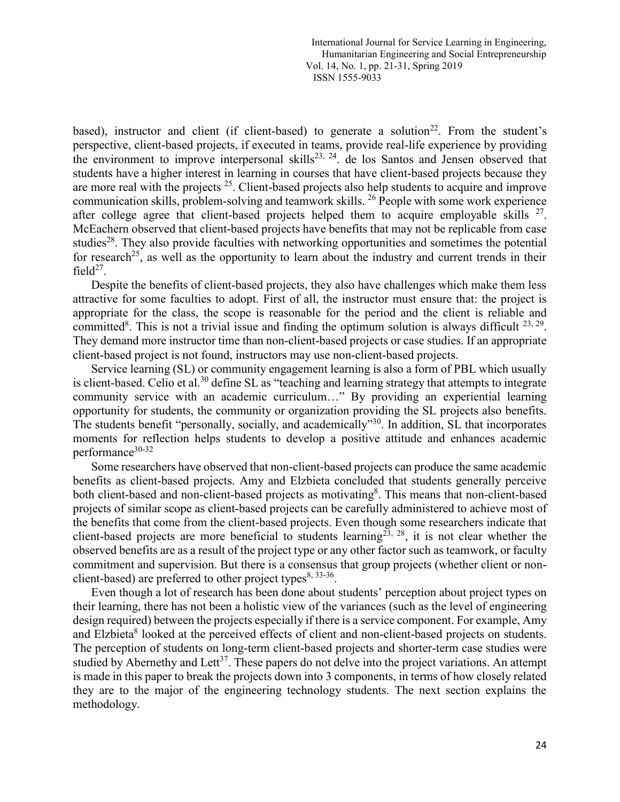based), instructor and client (if client-based) to generate a solution<sup>22</sup>. From the student's perspective, client-based projects, if executed in teams, provide real-life experience by providing the environment to improve interpersonal skills<sup>23, 24</sup>. de los Santos and Jensen observed that students have a higher interest in learning in courses that have client-based projects because they are more real with the projects  $25$ . Client-based projects also help students to acquire and improve communication skills, problem-solving and teamwork skills. <sup>26</sup> People with some work experience after college agree that client-based projects helped them to acquire employable skills  $27$ . McEachern observed that client-based projects have benefits that may not be replicable from case studies<sup>28</sup>. They also provide faculties with networking opportunities and sometimes the potential for research<sup>25</sup>, as well as the opportunity to learn about the industry and current trends in their field $27$ .

Despite the benefits of client-based projects, they also have challenges which make them less attractive for some faculties to adopt. First of all, the instructor must ensure that: the project is appropriate for the class, the scope is reasonable for the period and the client is reliable and committed<sup>8</sup>. This is not a trivial issue and finding the optimum solution is always difficult  $^{23, 29}$ . They demand more instructor time than non-client-based projects or case studies. If an appropriate client-based project is not found, instructors may use non-client-based projects.

Service learning (SL) or community engagement learning is also a form of PBL which usually is client-based. Celio et al.<sup>30</sup> define SL as "teaching and learning strategy that attempts to integrate community service with an academic curriculum…" By providing an experiential learning opportunity for students, the community or organization providing the SL projects also benefits. The students benefit "personally, socially, and academically"<sup>30</sup>. In addition, SL that incorporates moments for reflection helps students to develop a positive attitude and enhances academic performance<sup>30-32</sup>

Some researchers have observed that non-client-based projects can produce the same academic benefits as client-based projects. Amy and Elzbieta concluded that students generally perceive both client-based and non-client-based projects as motivating<sup>8</sup>. This means that non-client-based projects of similar scope as client-based projects can be carefully administered to achieve most of the benefits that come from the client-based projects. Even though some researchers indicate that client-based projects are more beneficial to students learning<sup>23, 28</sup>, it is not clear whether the observed benefits are as a result of the project type or any other factor such as teamwork, or faculty commitment and supervision. But there is a consensus that group projects (whether client or nonclient-based) are preferred to other project types $8,33-36$ .

Even though a lot of research has been done about students' perception about project types on their learning, there has not been a holistic view of the variances (such as the level of engineering design required) between the projects especially if there is a service component. For example, Amy and Elzbieta<sup>8</sup> looked at the perceived effects of client and non-client-based projects on students. The perception of students on long-term client-based projects and shorter-term case studies were studied by Abernethy and Lett<sup>37</sup>. These papers do not delve into the project variations. An attempt is made in this paper to break the projects down into 3 components, in terms of how closely related they are to the major of the engineering technology students. The next section explains the methodology.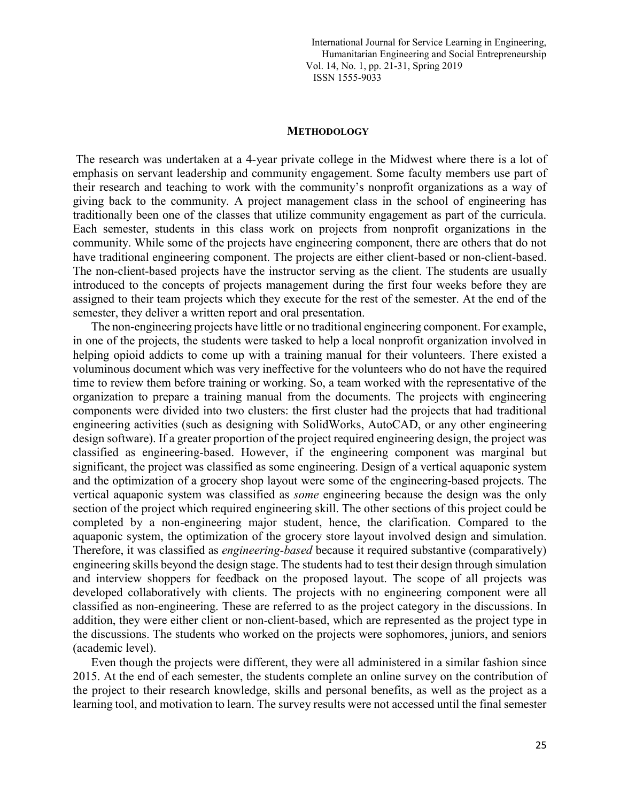#### **METHODOLOGY**

The research was undertaken at a 4-year private college in the Midwest where there is a lot of emphasis on servant leadership and community engagement. Some faculty members use part of their research and teaching to work with the community's nonprofit organizations as a way of giving back to the community. A project management class in the school of engineering has traditionally been one of the classes that utilize community engagement as part of the curricula. Each semester, students in this class work on projects from nonprofit organizations in the community. While some of the projects have engineering component, there are others that do not have traditional engineering component. The projects are either client-based or non-client-based. The non-client-based projects have the instructor serving as the client. The students are usually introduced to the concepts of projects management during the first four weeks before they are assigned to their team projects which they execute for the rest of the semester. At the end of the semester, they deliver a written report and oral presentation.

The non-engineering projects have little or no traditional engineering component. For example, in one of the projects, the students were tasked to help a local nonprofit organization involved in helping opioid addicts to come up with a training manual for their volunteers. There existed a voluminous document which was very ineffective for the volunteers who do not have the required time to review them before training or working. So, a team worked with the representative of the organization to prepare a training manual from the documents. The projects with engineering components were divided into two clusters: the first cluster had the projects that had traditional engineering activities (such as designing with SolidWorks, AutoCAD, or any other engineering design software). If a greater proportion of the project required engineering design, the project was classified as engineering-based. However, if the engineering component was marginal but significant, the project was classified as some engineering. Design of a vertical aquaponic system and the optimization of a grocery shop layout were some of the engineering-based projects. The vertical aquaponic system was classified as *some* engineering because the design was the only section of the project which required engineering skill. The other sections of this project could be completed by a non-engineering major student, hence, the clarification. Compared to the aquaponic system, the optimization of the grocery store layout involved design and simulation. Therefore, it was classified as *engineering-based* because it required substantive (comparatively) engineering skills beyond the design stage. The students had to test their design through simulation and interview shoppers for feedback on the proposed layout. The scope of all projects was developed collaboratively with clients. The projects with no engineering component were all classified as non-engineering. These are referred to as the project category in the discussions. In addition, they were either client or non-client-based, which are represented as the project type in the discussions. The students who worked on the projects were sophomores, juniors, and seniors (academic level).

Even though the projects were different, they were all administered in a similar fashion since 2015. At the end of each semester, the students complete an online survey on the contribution of the project to their research knowledge, skills and personal benefits, as well as the project as a learning tool, and motivation to learn. The survey results were not accessed until the final semester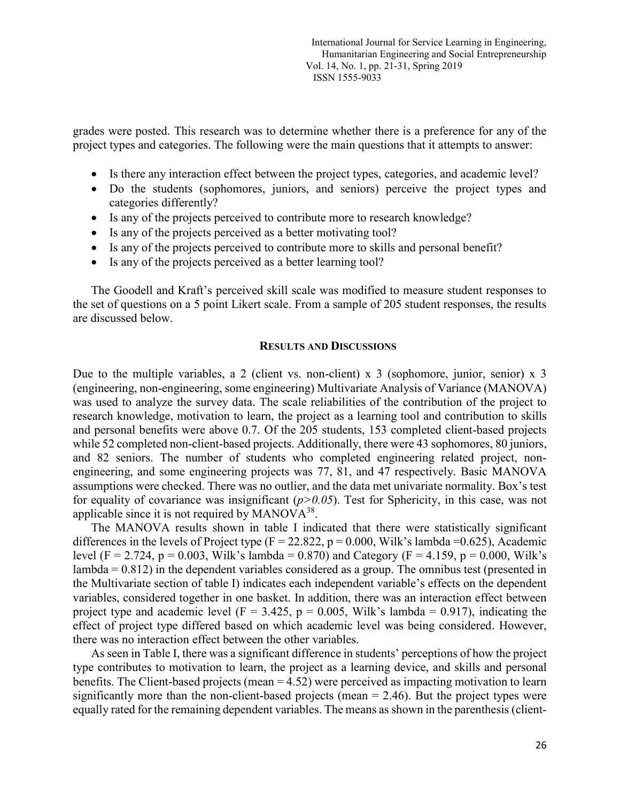grades were posted. This research was to determine whether there is a preference for any of the project types and categories. The following were the main questions that it attempts to answer:

- Is there any interaction effect between the project types, categories, and academic level?
- Do the students (sophomores, juniors, and seniors) perceive the project types and categories differently?
- Is any of the projects perceived to contribute more to research knowledge?
- Is any of the projects perceived as a better motivating tool?
- Is any of the projects perceived to contribute more to skills and personal benefit?
- Is any of the projects perceived as a better learning tool?

The Goodell and Kraft's perceived skill scale was modified to measure student responses to the set of questions on a 5 point Likert scale. From a sample of 205 student responses, the results are discussed below.

#### **RESULTS AND DISCUSSIONS**

Due to the multiple variables, a 2 (client vs. non-client) x 3 (sophomore, junior, senior) x 3 (engineering, non-engineering, some engineering) Multivariate Analysis of Variance (MANOVA) was used to analyze the survey data. The scale reliabilities of the contribution of the project to research knowledge, motivation to learn, the project as a learning tool and contribution to skills and personal benefits were above 0.7. Of the 205 students, 153 completed client-based projects while 52 completed non-client-based projects. Additionally, there were 43 sophomores, 80 juniors, and 82 seniors. The number of students who completed engineering related project, nonengineering, and some engineering projects was 77, 81, and 47 respectively. Basic MANOVA assumptions were checked. There was no outlier, and the data met univariate normality. Box's test for equality of covariance was insignificant (*p>0.05*). Test for Sphericity, in this case, was not applicable since it is not required by  $MANOVA^{38}$ .

The MANOVA results shown in table I indicated that there were statistically significant differences in the levels of Project type ( $F = 22.822$ ,  $p = 0.000$ , Wilk's lambda = 0.625), Academic level (F = 2.724, p = 0.003, Wilk's lambda = 0.870) and Category (F = 4.159, p = 0.000, Wilk's lambda = 0.812) in the dependent variables considered as a group. The omnibus test (presented in the Multivariate section of table I) indicates each independent variable's effects on the dependent variables, considered together in one basket. In addition, there was an interaction effect between project type and academic level ( $F = 3.425$ ,  $p = 0.005$ , Wilk's lambda = 0.917), indicating the effect of project type differed based on which academic level was being considered. However, there was no interaction effect between the other variables.

As seen in Table I, there was a significant difference in students' perceptions of how the project type contributes to motivation to learn, the project as a learning device, and skills and personal benefits. The Client-based projects (mean = 4.52) were perceived as impacting motivation to learn significantly more than the non-client-based projects (mean  $= 2.46$ ). But the project types were equally rated for the remaining dependent variables. The means as shown in the parenthesis (client-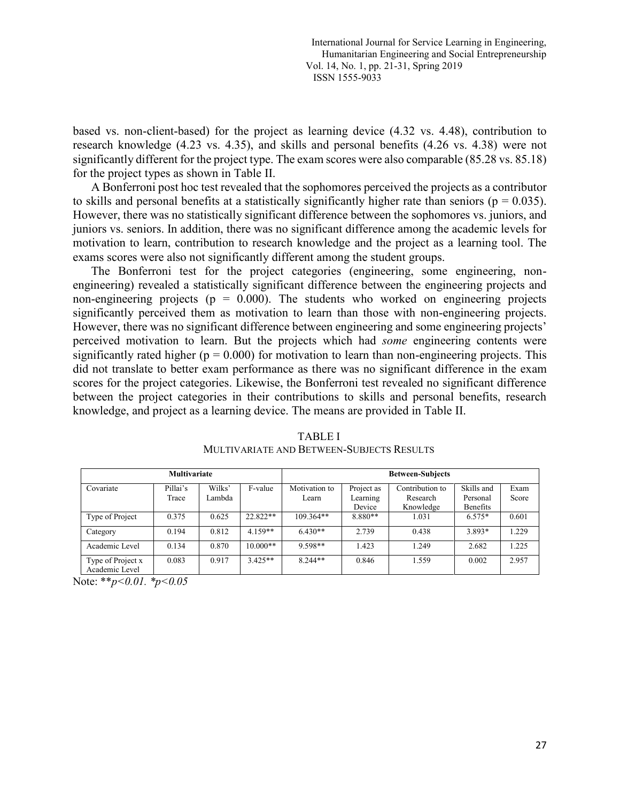based vs. non-client-based) for the project as learning device (4.32 vs. 4.48), contribution to research knowledge (4.23 vs. 4.35), and skills and personal benefits (4.26 vs. 4.38) were not significantly different for the project type. The exam scores were also comparable (85.28 vs. 85.18) for the project types as shown in Table II.

A Bonferroni post hoc test revealed that the sophomores perceived the projects as a contributor to skills and personal benefits at a statistically significantly higher rate than seniors ( $p = 0.035$ ). However, there was no statistically significant difference between the sophomores vs. juniors, and juniors vs. seniors. In addition, there was no significant difference among the academic levels for motivation to learn, contribution to research knowledge and the project as a learning tool. The exams scores were also not significantly different among the student groups.

The Bonferroni test for the project categories (engineering, some engineering, nonengineering) revealed a statistically significant difference between the engineering projects and non-engineering projects ( $p = 0.000$ ). The students who worked on engineering projects significantly perceived them as motivation to learn than those with non-engineering projects. However, there was no significant difference between engineering and some engineering projects' perceived motivation to learn. But the projects which had *some* engineering contents were significantly rated higher ( $p = 0.000$ ) for motivation to learn than non-engineering projects. This did not translate to better exam performance as there was no significant difference in the exam scores for the project categories. Likewise, the Bonferroni test revealed no significant difference between the project categories in their contributions to skills and personal benefits, research knowledge, and project as a learning device. The means are provided in Table II.

| Multivariate                        |                   |                  |            | <b>Between-Subjects</b> |                        |                             |                        |               |  |
|-------------------------------------|-------------------|------------------|------------|-------------------------|------------------------|-----------------------------|------------------------|---------------|--|
| Covariate                           | Pillai's<br>Trace | Wilks'<br>Lambda | F-value    | Motivation to<br>Learn  | Project as<br>Learning | Contribution to<br>Research | Skills and<br>Personal | Exam<br>Score |  |
|                                     |                   |                  |            |                         | Device                 | Knowledge                   | Benefits               |               |  |
| Type of Project                     | 0.375             | 0.625            | 22.822**   | $109.364**$             | $8.880**$              | 1.031                       | $6.575*$               | 0.601         |  |
| Category                            | 0.194             | 0.812            | $4.159**$  | $6.430**$               | 2.739                  | 0.438                       | 3.893*                 | 1.229         |  |
| Academic Level                      | 0.134             | 0.870            | $10.000**$ | 9.598**                 | 1.423                  | 1.249                       | 2.682                  | 1.225         |  |
| Type of Project x<br>Academic Level | 0.083             | 0.917            | $3.425**$  | $8.244**$               | 0.846                  | 1.559                       | 0.002                  | 2.957         |  |

TABLE I MULTIVARIATE AND BETWEEN-SUBJECTS RESULTS

Note: \*\**p<0.01. \*p<0.05*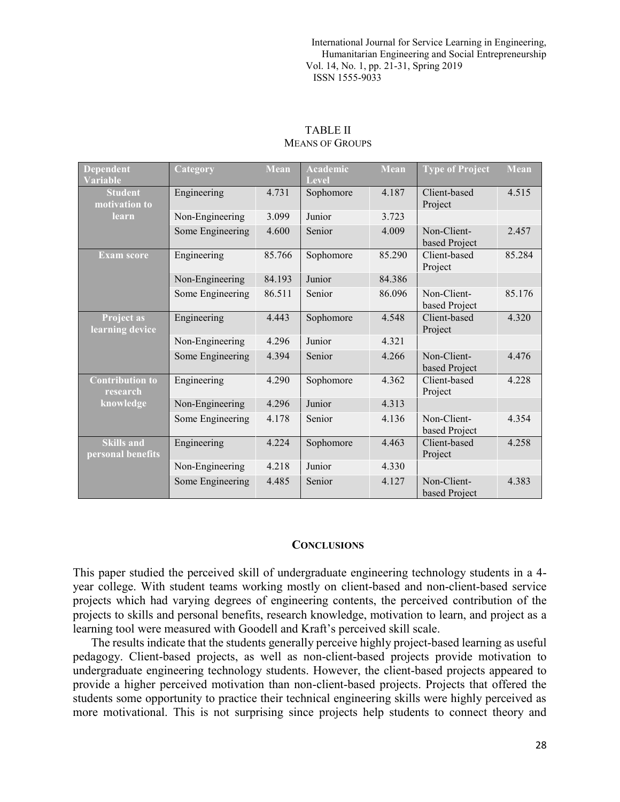| <b>Dependent</b><br><b>Variable</b>    | Category         | Mean   | <b>Academic</b><br>Level | Mean   | <b>Type of Project</b>       | <b>Mean</b> |
|----------------------------------------|------------------|--------|--------------------------|--------|------------------------------|-------------|
| <b>Student</b><br>motivation to        | Engineering      | 4.731  | Sophomore                | 4.187  | Client-based<br>Project      | 4.515       |
| learn                                  | Non-Engineering  | 3.099  | Junior                   | 3.723  |                              |             |
|                                        | Some Engineering | 4.600  | Senior                   | 4.009  | Non-Client-<br>based Project | 2.457       |
| <b>Exam score</b>                      | Engineering      | 85.766 | Sophomore                | 85.290 | Client-based<br>Project      | 85.284      |
|                                        | Non-Engineering  | 84.193 | Junior                   | 84.386 |                              |             |
|                                        | Some Engineering | 86.511 | Senior                   | 86.096 | Non-Client-<br>based Project | 85.176      |
| Project as<br>learning device          | Engineering      | 4.443  | Sophomore                | 4.548  | Client-based<br>Project      | 4.320       |
|                                        | Non-Engineering  | 4.296  | Junior                   | 4.321  |                              |             |
|                                        | Some Engineering | 4.394  | Senior                   | 4.266  | Non-Client-<br>based Project | 4.476       |
| <b>Contribution to</b><br>research     | Engineering      | 4.290  | Sophomore                | 4.362  | Client-based<br>Project      | 4.228       |
| knowledge                              | Non-Engineering  | 4.296  | Junior                   | 4.313  |                              |             |
|                                        | Some Engineering | 4.178  | Senior                   | 4.136  | Non-Client-<br>based Project | 4.354       |
| <b>Skills and</b><br>personal benefits | Engineering      | 4.224  | Sophomore                | 4.463  | Client-based<br>Project      | 4.258       |
|                                        | Non-Engineering  | 4.218  | Junior                   | 4.330  |                              |             |
|                                        | Some Engineering | 4.485  | Senior                   | 4.127  | Non-Client-<br>based Project | 4.383       |

TABLE II MEANS OF GROUPS

#### **CONCLUSIONS**

This paper studied the perceived skill of undergraduate engineering technology students in a 4 year college. With student teams working mostly on client-based and non-client-based service projects which had varying degrees of engineering contents, the perceived contribution of the projects to skills and personal benefits, research knowledge, motivation to learn, and project as a learning tool were measured with Goodell and Kraft's perceived skill scale.

The results indicate that the students generally perceive highly project-based learning as useful pedagogy. Client-based projects, as well as non-client-based projects provide motivation to undergraduate engineering technology students. However, the client-based projects appeared to provide a higher perceived motivation than non-client-based projects. Projects that offered the students some opportunity to practice their technical engineering skills were highly perceived as more motivational. This is not surprising since projects help students to connect theory and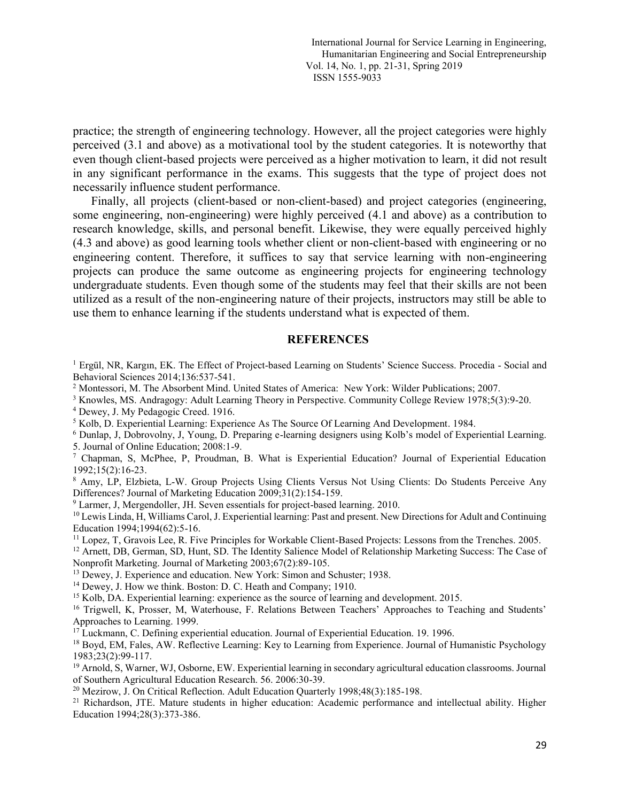practice; the strength of engineering technology. However, all the project categories were highly perceived (3.1 and above) as a motivational tool by the student categories. It is noteworthy that even though client-based projects were perceived as a higher motivation to learn, it did not result in any significant performance in the exams. This suggests that the type of project does not necessarily influence student performance.

Finally, all projects (client-based or non-client-based) and project categories (engineering, some engineering, non-engineering) were highly perceived (4.1 and above) as a contribution to research knowledge, skills, and personal benefit. Likewise, they were equally perceived highly (4.3 and above) as good learning tools whether client or non-client-based with engineering or no engineering content. Therefore, it suffices to say that service learning with non-engineering projects can produce the same outcome as engineering projects for engineering technology undergraduate students. Even though some of the students may feel that their skills are not been utilized as a result of the non-engineering nature of their projects, instructors may still be able to use them to enhance learning if the students understand what is expected of them.

#### **REFERENCES**

<sup>1</sup> Ergül, NR, Kargın, EK. The Effect of Project-based Learning on Students' Science Success. Procedia - Social and Behavioral Sciences 2014;136:537-541.

<sup>2</sup> Montessori, M. The Absorbent Mind. United States of America: New York: Wilder Publications; 2007.

<sup>3</sup> Knowles, MS. Andragogy: Adult Learning Theory in Perspective. Community College Review 1978;5(3):9-20.

<sup>4</sup> Dewey, J. My Pedagogic Creed. 1916.

<sup>5</sup> Kolb, D. Experiential Learning: Experience As The Source Of Learning And Development. 1984.

<sup>6</sup> Dunlap, J, Dobrovolny, J, Young, D. Preparing e-learning designers using Kolb's model of Experiential Learning. 5. Journal of Online Education; 2008:1-9.

<sup>7</sup> Chapman, S, McPhee, P, Proudman, B. What is Experiential Education? Journal of Experiential Education 1992;15(2):16-23.

<sup>8</sup> Amy, LP, Elzbieta, L-W. Group Projects Using Clients Versus Not Using Clients: Do Students Perceive Any Differences? Journal of Marketing Education 2009;31(2):154-159.

<sup>9</sup> Larmer, J, Mergendoller, JH. Seven essentials for project-based learning. 2010.

<sup>10</sup> Lewis Linda, H, Williams Carol, J. Experiential learning: Past and present. New Directions for Adult and Continuing Education 1994;1994(62):5-16.

<sup>11</sup> Lopez, T, Gravois Lee, R. Five Principles for Workable Client-Based Projects: Lessons from the Trenches. 2005.

<sup>12</sup> Arnett, DB, German, SD, Hunt, SD. The Identity Salience Model of Relationship Marketing Success: The Case of Nonprofit Marketing. Journal of Marketing 2003;67(2):89-105.

<sup>13</sup> Dewey, J. Experience and education. New York: Simon and Schuster; 1938.

<sup>14</sup> Dewey, J. How we think. Boston: D. C. Heath and Company; 1910.

<sup>15</sup> Kolb, DA. Experiential learning: experience as the source of learning and development. 2015.

<sup>16</sup> Trigwell, K, Prosser, M, Waterhouse, F. Relations Between Teachers' Approaches to Teaching and Students' Approaches to Learning. 1999.

<sup>17</sup> Luckmann, C. Defining experiential education. Journal of Experiential Education. 19. 1996.

<sup>18</sup> Boyd, EM, Fales, AW. Reflective Learning: Key to Learning from Experience. Journal of Humanistic Psychology 1983;23(2):99-117.

<sup>19</sup> Arnold, S, Warner, WJ, Osborne, EW. Experiential learning in secondary agricultural education classrooms. Journal of Southern Agricultural Education Research. 56. 2006:30-39.

<sup>20</sup> Mezirow, J. On Critical Reflection. Adult Education Quarterly 1998;48(3):185-198.

<sup>21</sup> Richardson, JTE. Mature students in higher education: Academic performance and intellectual ability. Higher Education 1994;28(3):373-386.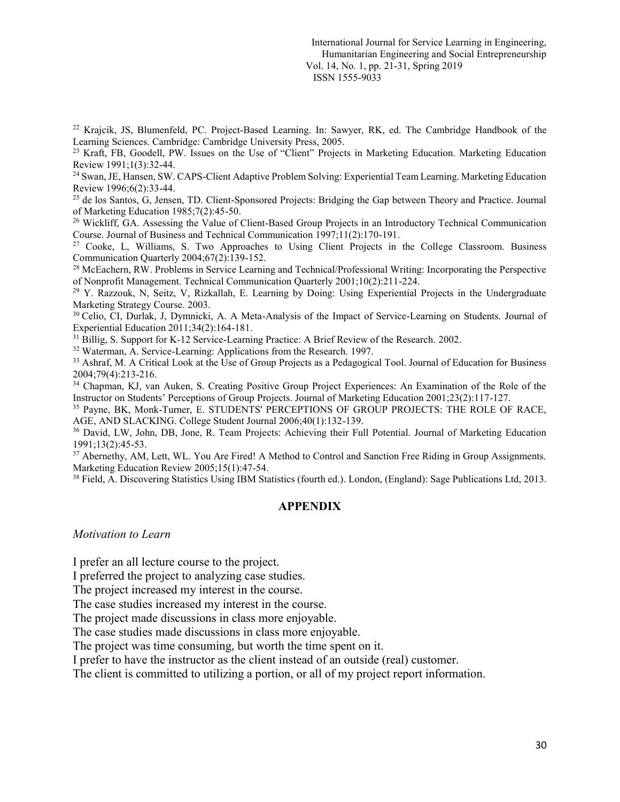<sup>22</sup> Krajcik, JS, Blumenfeld, PC. Project-Based Learning. In: Sawyer, RK, ed. The Cambridge Handbook of the Learning Sciences. Cambridge: Cambridge University Press, 2005.

<sup>23</sup> Kraft, FB, Goodell, PW. Issues on the Use of "Client" Projects in Marketing Education. Marketing Education Review 1991;1(3):32-44.

<sup>24</sup> Swan, JE, Hansen, SW. CAPS-Client Adaptive Problem Solving: Experiential Team Learning. Marketing Education Review 1996;6(2):33-44.

<sup>25</sup> de los Santos, G, Jensen, TD. Client-Sponsored Projects: Bridging the Gap between Theory and Practice. Journal of Marketing Education 1985;7(2):45-50.

<sup>26</sup> Wickliff, GA. Assessing the Value of Client-Based Group Projects in an Introductory Technical Communication Course. Journal of Business and Technical Communication 1997;11(2):170-191.

<sup>27</sup> Cooke, L, Williams, S. Two Approaches to Using Client Projects in the College Classroom. Business Communication Quarterly 2004;67(2):139-152.

<sup>28</sup> McEachern, RW. Problems in Service Learning and Technical/Professional Writing: Incorporating the Perspective of Nonprofit Management. Technical Communication Quarterly 2001;10(2):211-224.

<sup>29</sup> Y. Razzouk, N, Seitz, V, Rizkallah, E. Learning by Doing: Using Experiential Projects in the Undergraduate Marketing Strategy Course. 2003.

<sup>30</sup> Celio, CI, Durlak, J, Dymnicki, A. A Meta-Analysis of the Impact of Service-Learning on Students. Journal of Experiential Education 2011;34(2):164-181.

<sup>31</sup> Billig, S. Support for K-12 Service-Learning Practice: A Brief Review of the Research. 2002.

<sup>32</sup> Waterman, A. Service-Learning: Applications from the Research. 1997.

<sup>33</sup> Ashraf, M. A Critical Look at the Use of Group Projects as a Pedagogical Tool. Journal of Education for Business 2004;79(4):213-216.

<sup>34</sup> Chapman, KJ, van Auken, S. Creating Positive Group Project Experiences: An Examination of the Role of the Instructor on Students' Perceptions of Group Projects. Journal of Marketing Education 2001;23(2):117-127.

<sup>35</sup> Payne, BK, Monk-Turner, E. STUDENTS' PERCEPTIONS OF GROUP PROJECTS: THE ROLE OF RACE, AGE, AND SLACKING. College Student Journal 2006;40(1):132-139.

<sup>36</sup> David, LW, John, DB, Jone, R. Team Projects: Achieving their Full Potential. Journal of Marketing Education 1991;13(2):45-53.

<sup>37</sup> Abernethy, AM, Lett, WL. You Are Fired! A Method to Control and Sanction Free Riding in Group Assignments. Marketing Education Review 2005;15(1):47-54.

<sup>38</sup> Field, A. Discovering Statistics Using IBM Statistics (fourth ed.). London, (England): Sage Publications Ltd, 2013.

#### **APPENDIX**

#### *Motivation to Learn*

I prefer an all lecture course to the project.

I preferred the project to analyzing case studies.

The project increased my interest in the course.

The case studies increased my interest in the course.

The project made discussions in class more enjoyable.

The case studies made discussions in class more enjoyable.

The project was time consuming, but worth the time spent on it.

I prefer to have the instructor as the client instead of an outside (real) customer.

The client is committed to utilizing a portion, or all of my project report information.